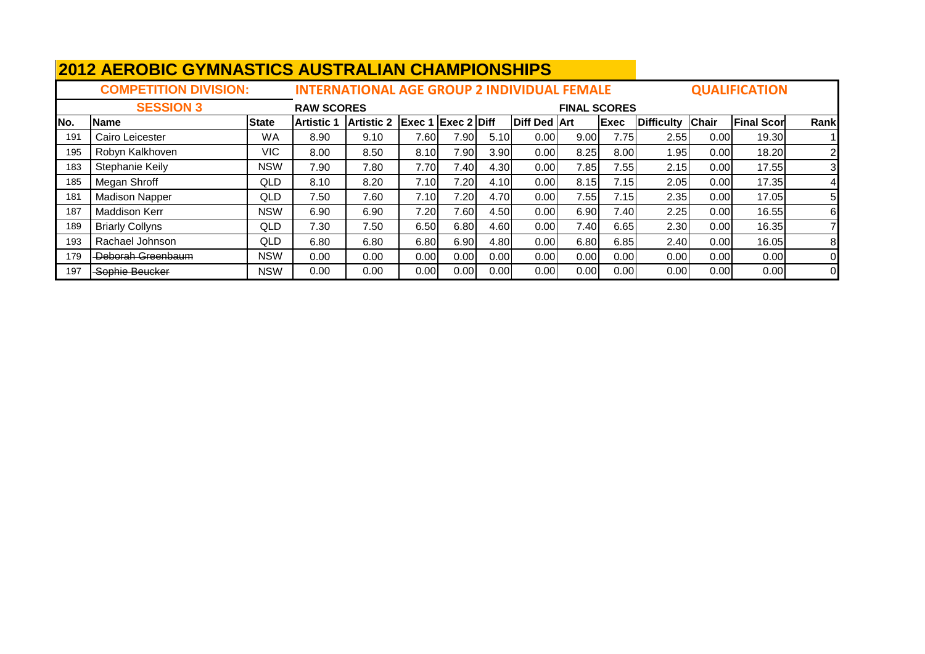|     |                              | <b>2012 AEROBIC GYMNASTICS AUSTRALIAN CHAMPIONSHIPS</b> |                   |                                                    |                             |               |      |                     |                     |      |                  |      |                      |          |  |
|-----|------------------------------|---------------------------------------------------------|-------------------|----------------------------------------------------|-----------------------------|---------------|------|---------------------|---------------------|------|------------------|------|----------------------|----------|--|
|     | <b>COMPETITION DIVISION:</b> |                                                         |                   | <b>INTERNATIONAL AGE GROUP 2 INDIVIDUAL FEMALE</b> |                             |               |      |                     |                     |      |                  |      | <b>QUALIFICATION</b> |          |  |
|     | <b>SESSION 3</b>             |                                                         | <b>RAW SCORES</b> |                                                    |                             |               |      |                     | <b>FINAL SCORES</b> |      |                  |      |                      |          |  |
| No. | <b>Name</b>                  | <b>State</b>                                            | lArtistic 1       | <b>Artistic 2</b>                                  | $\left $ Exec 1 Exec 2 Diff |               |      | <b>Diff Ded Art</b> |                     | Exec | Difficulty Chair |      | <b>Final Scor</b>    | Rank     |  |
| 191 | Cairo Leicester              | <b>WA</b>                                               | 8.90              | 9.10                                               | 7.60                        | 7.90          | 5.10 | 0.00                | 9.00                | 7.75 | 2.55             | 0.00 | 19.30                |          |  |
| 195 | Robyn Kalkhoven              | <b>VIC</b>                                              | 8.00              | 8.50                                               | 8.10                        | 7.90          | 3.90 | 0.00                | 8.25                | 8.00 | 1.95             | 0.00 | 18.20                |          |  |
| 183 | Stephanie Keily              | <b>NSW</b>                                              | 7.90              | 7.80                                               | 7.70                        | 7.40          | 4.30 | 0.00                | 7.85                | 7.55 | 2.15             | 0.00 | 17.55                |          |  |
| 185 | Megan Shroff                 | QLD                                                     | 8.10              | 8.20                                               | 7.10                        | 7.20          | 4.10 | 0.00                | 8.15                | 7.15 | 2.05             | 0.00 | 17.35                |          |  |
| 181 | <b>Madison Napper</b>        | QLD                                                     | 7.50              | 7.60                                               | 7.10                        | 7.20 <b> </b> | 4.70 | 0.00                | 7.55                | 7.15 | 2.35             | 0.00 | 17.05                | 5        |  |
| 187 | <b>Maddison Kerr</b>         | <b>NSW</b>                                              | 6.90              | 6.90                                               | 7.20                        | 7.60          | 4.50 | 0.00                | 6.90                | 7.40 | 2.25             | 0.00 | 16.55                | 6        |  |
| 189 | <b>Briarly Collyns</b>       | QLD                                                     | 7.30              | 7.50                                               | 6.50                        | 6.80          | 4.60 | 0.00                | 7.40                | 6.65 | 2.30             | 0.00 | 16.35                |          |  |
| 193 | Rachael Johnson              | <b>QLD</b>                                              | 6.80              | 6.80                                               | 6.80                        | 6.90          | 4.80 | 0.00                | 6.80                | 6.85 | 2.40             | 0.00 | 16.05                | 8        |  |
| 179 | -Deborah Greenbaum           | <b>NSW</b>                                              | 0.00              | 0.00                                               | 0.00                        | 0.00          | 0.00 | 0.00                | 0.00                | 0.00 | 0.00             | 0.00 | 0.00                 | $\Omega$ |  |
| 197 | Sophie Beucker               | <b>NSW</b>                                              | 0.00              | 0.00                                               | 0.00                        | 0.00          | 0.00 | 0.00                | 0.00                | 0.00 | 0.00             | 0.00 | 0.00                 | 0l       |  |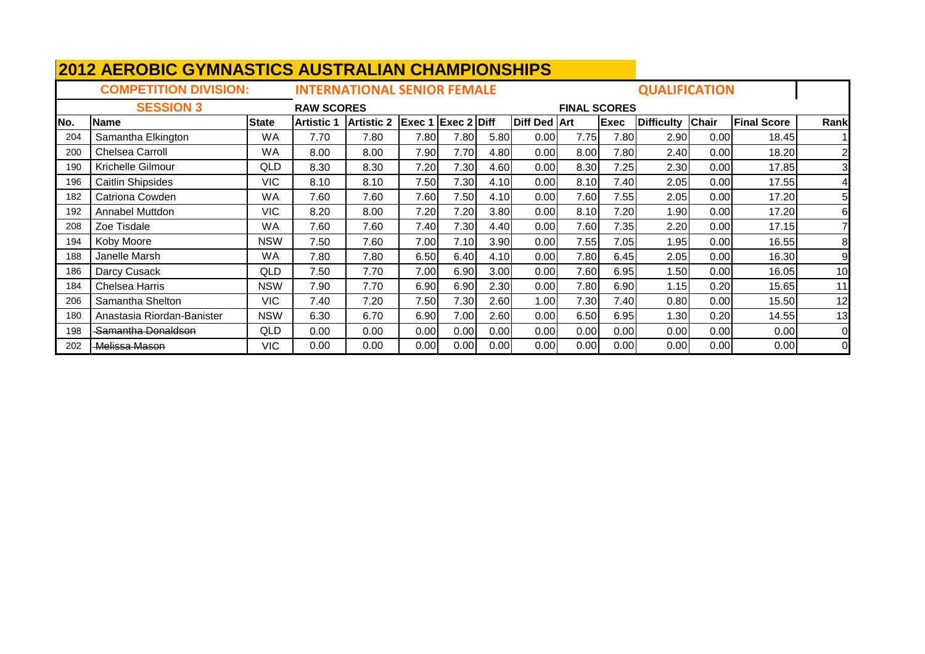|     | <b>2012 AEROBIC GYMNASTICS AUSTRALIAN CHAMPIONSHIPS</b> |              |                   |                                    |                           |      |      |                     |                     |             |                      |              |                    |                |
|-----|---------------------------------------------------------|--------------|-------------------|------------------------------------|---------------------------|------|------|---------------------|---------------------|-------------|----------------------|--------------|--------------------|----------------|
|     | <b>COMPETITION DIVISION:</b>                            |              |                   | <b>INTERNATIONAL SENIOR FEMALE</b> |                           |      |      |                     |                     |             | <b>QUALIFICATION</b> |              |                    |                |
|     | <b>SESSION 3</b>                                        |              | <b>RAW SCORES</b> |                                    |                           |      |      |                     | <b>FINAL SCORES</b> |             |                      |              |                    |                |
| No. | <b>Name</b>                                             | <b>State</b> | <b>Artistic 1</b> | <b>Artistic 2</b>                  | <b>Exec 1 Exec 2 Diff</b> |      |      | <b>Diff Ded Art</b> |                     | <b>Exec</b> | <b>Difficulty</b>    | <b>Chair</b> | <b>Final Score</b> | Rank           |
| 204 | Samantha Elkington                                      | WA           | 7.70              | 7.80                               | 7.80                      | 7.80 | 5.80 | 0.00                | 7.75                | 7.80        | 2.90                 | 0.00         | 18.45              |                |
| 200 | Chelsea Carroll                                         | WA           | 8.00              | 8.00                               | 7.90                      | 7.70 | 4.80 | 0.00                | 8.00                | 7.80        | 2.40                 | 0.00         | 18.20              | $\overline{c}$ |
| 190 | Krichelle Gilmour                                       | QLD          | 8.30              | 8.30                               | 7.20                      | 7.30 | 4.60 | 0.00                | 8.30                | 7.25        | 2.30                 | 0.00         | 17.85              | 3              |
| 196 | <b>Caitlin Shipsides</b>                                | <b>VIC</b>   | 8.10              | 8.10                               | 7.50                      | 7.30 | 4.10 | 0.00                | 8.10                | 7.40        | 2.05                 | 0.00         | 17.55              | 4              |
| 182 | Catriona Cowden                                         | WA           | 7.60              | 7.60                               | 7.60                      | 7.50 | 4.10 | 0.00                | 7.60                | 7.55        | 2.05                 | 0.00         | 17.20              | 5              |
| 192 | Annabel Muttdon                                         | <b>VIC</b>   | 8.20              | 8.00                               | 7.20                      | 7.20 | 3.80 | 0.00                | 8.10                | 7.20        | 1.90                 | 0.00         | 17.20              | 6              |
| 208 | Zoe Tisdale                                             | <b>WA</b>    | 7.60              | 7.60                               | 7.40                      | 7.30 | 4.40 | 0.00                | 7.60                | 7.35        | 2.20                 | 0.00         | 17.15              |                |
| 194 | Koby Moore                                              | <b>NSW</b>   | 7.50              | 7.60                               | 7.00                      | 7.10 | 3.90 | 0.00                | 7.55                | 7.05        | 1.95                 | 0.00         | 16.55              | 8              |
| 188 | Janelle Marsh                                           | <b>WA</b>    | 7.80              | 7.80                               | 6.50                      | 6.40 | 4.10 | 0.00                | 7.80                | 6.45        | 2.05                 | 0.00         | 16.30              | 9              |
| 186 | Darcy Cusack                                            | <b>QLD</b>   | 7.50              | 7.70                               | 7.00                      | 6.90 | 3.00 | 0.00                | 7.60                | 6.95        | 1.50                 | 0.00         | 16.05              | 10             |
| 184 | <b>Chelsea Harris</b>                                   | <b>NSW</b>   | 7.90              | 7.70                               | 6.90                      | 6.90 | 2.30 | 0.00                | 7.80                | 6.90        | 1.15                 | 0.20         | 15.65              | 11             |
| 206 | Samantha Shelton                                        | <b>VIC</b>   | 7.40              | 7.20                               | 7.50                      | 7.30 | 2.60 | 1.00                | 7.30                | 7.40        | 0.80                 | 0.00         | 15.50              | 12             |
| 180 | Anastasia Riordan-Banister                              | <b>NSW</b>   | 6.30              | 6.70                               | 6.90                      | 7.00 | 2.60 | 0.00                | 6.50                | 6.95        | 1.30                 | 0.20         | 14.55              | 13             |
| 198 | -Samantha Donaldson                                     | QLD          | 0.00              | 0.00                               | 0.00                      | 0.00 | 0.00 | 0.00                | 0.00                | 0.00        | 0.00                 | 0.00         | 0.00               | $\overline{0}$ |
| 202 | <b>Melissa Mason</b>                                    | VIC.         | 0.00              | 0.00                               | 0.00                      | 0.00 | 0.00 | 0.00                | 0.00                | 0.00        | 0.00                 | 0.00         | 0.00               | $\Omega$       |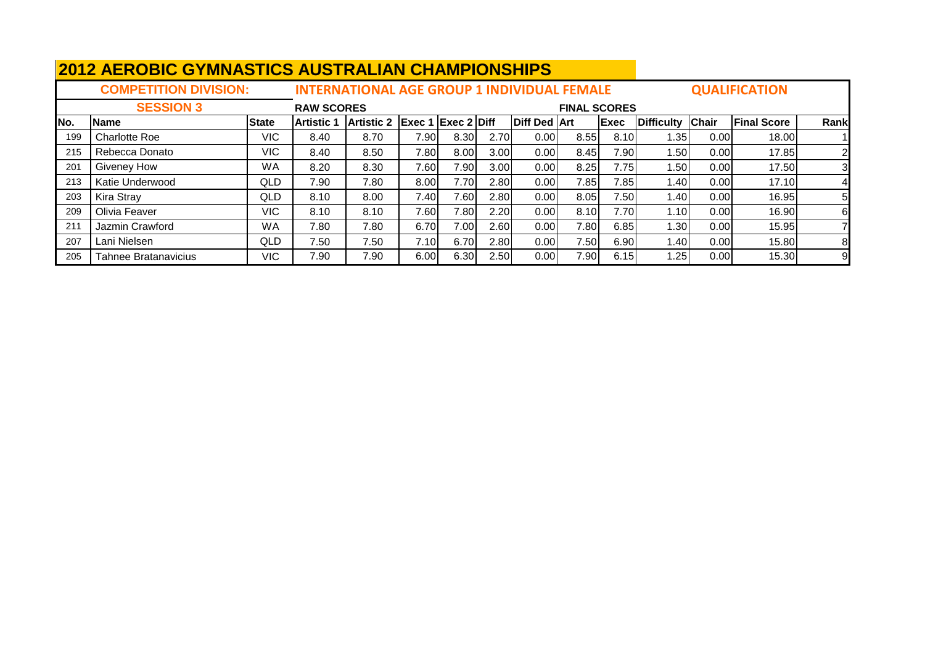|      |                              | <b>2012 AEROBIC GYMNASTICS AUSTRALIAN CHAMPIONSHIPS</b><br><b>INTERNATIONAL AGE GROUP 1 INDIVIDUAL FEMALE</b> |                   |                   |                                      |      |      |                     |                     |      |                   |              |                      |      |  |
|------|------------------------------|---------------------------------------------------------------------------------------------------------------|-------------------|-------------------|--------------------------------------|------|------|---------------------|---------------------|------|-------------------|--------------|----------------------|------|--|
|      | <b>COMPETITION DIVISION:</b> |                                                                                                               |                   |                   |                                      |      |      |                     |                     |      |                   |              | <b>QUALIFICATION</b> |      |  |
|      | <b>SESSION 3</b>             |                                                                                                               | <b>RAW SCORES</b> |                   |                                      |      |      |                     | <b>FINAL SCORES</b> |      |                   |              |                      |      |  |
| INo. | <b>Name</b>                  | <b>State</b>                                                                                                  | <b>Artistic 1</b> | <b>Artistic 2</b> | $\left $ Exec 1 $\left $ Exec 2 Diff |      |      | <b>Diff Ded Art</b> |                     | Exec | <b>Difficulty</b> | <b>Chair</b> | <b>Final Score</b>   | Rank |  |
| 199  | <b>Charlotte Roe</b>         | VIC.                                                                                                          | 8.40              | 8.70              | 7.90                                 | 8.30 | 2.70 | 0.00                | 8.55                | 8.10 | 1.35              | 0.00         | 18.00                |      |  |
| 215  | Rebecca Donato               | VIC                                                                                                           | 8.40              | 8.50              | 7.80                                 | 8.00 | 3.00 | 0.00                | 8.45                | 7.90 | 1.50l             | 0.00         | 17.85                |      |  |
| 201  | <b>Giveney How</b>           | <b>WA</b>                                                                                                     | 8.20              | 8.30              | 7.60                                 | 7.90 | 3.00 | 0.00                | 8.25                | 7.75 | 1.501             | 0.00         | 17.50                | 3    |  |
| 213  | Katie Underwood              | <b>QLD</b>                                                                                                    | 7.90              | 7.80              | 8.00                                 | 7.70 | 2.80 | 0.00                | 7.85                | 7.85 | 1.40              | 0.00         | 17.10                |      |  |
| 203  | <b>Kira Stray</b>            | QLD                                                                                                           | 8.10              | 8.00              | 7.40                                 | 7.60 | 2.80 | 0.00                | 8.05                | 7.50 | 1.40              | 0.00         | 16.95                | 5    |  |
| 209  | Olivia Feaver                | <b>VIC</b>                                                                                                    | 8.10              | 8.10              | 7.60                                 | 7.80 | 2.20 | 0.00                | 8.10                | 7.70 | 1.10              | 0.00         | 16.90                | 6    |  |
| 211  | Jazmin Crawford              | <b>WA</b>                                                                                                     | 7.80              | 7.80              | 6.70                                 | 7.00 | 2.60 | 0.00                | 7.80                | 6.85 | 1.30              | 0.00         | 15.95                |      |  |
| 207  | Lani Nielsen                 | <b>QLD</b>                                                                                                    | 7.50              | 7.50              | 7.10                                 | 6.70 | 2.80 | 0.00                | 7.50                | 6.90 | 1.40              | 0.00         | 15.80                | 8    |  |
| 205  | <b>Tahnee Bratanavicius</b>  | VIC                                                                                                           | 7.90              | 7.90              | 6.00                                 | 6.30 | 2.50 | 0.00                | 7.90                | 6.15 | 1.25              | 0.00         | 15.30                | 9    |  |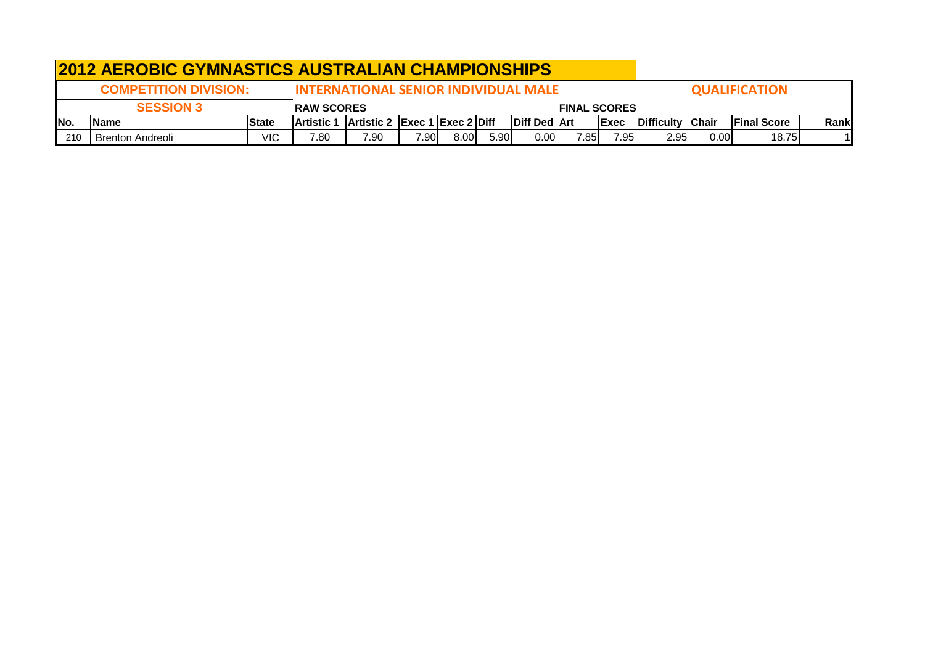|      |                                | <b>2012 AEROBIC GYMNASTICS AUSTRALIAN CHAMPIONSHIPS</b> |                                             |                                               |      |      |      |                       |                     |              |                  |      |                      |       |
|------|--------------------------------|---------------------------------------------------------|---------------------------------------------|-----------------------------------------------|------|------|------|-----------------------|---------------------|--------------|------------------|------|----------------------|-------|
|      | <b>COMPETITION DIVISION:</b>   |                                                         | <b>INTERNATIONAL SENIOR INDIVIDUAL MALE</b> |                                               |      |      |      |                       |                     |              |                  |      | <b>QUALIFICATION</b> |       |
|      | <b>SESSION 3</b>               |                                                         | <b>RAW SCORES</b>                           |                                               |      |      |      |                       | <b>FINAL SCORES</b> |              |                  |      |                      |       |
| INo. | <b>Name</b>                    | <b>State</b>                                            | lArtistic 1                                 | $ $ Artistic 2 $ $ Exec 1 $ $ Exec 2 $ $ Diff |      |      |      | <b>IDiff Ded IArt</b> |                     | <b>IExec</b> | Difficulty Chair |      | <b>IFinal Score</b>  | Rankl |
|      | 210<br><b>Brenton Andreoli</b> | VIC                                                     | 7.80                                        | 7.90                                          | 7.90 | 8.00 | 5.90 | 0.00                  | 7.85                | 7.95         | 2.95             | 0.00 | 18.75                |       |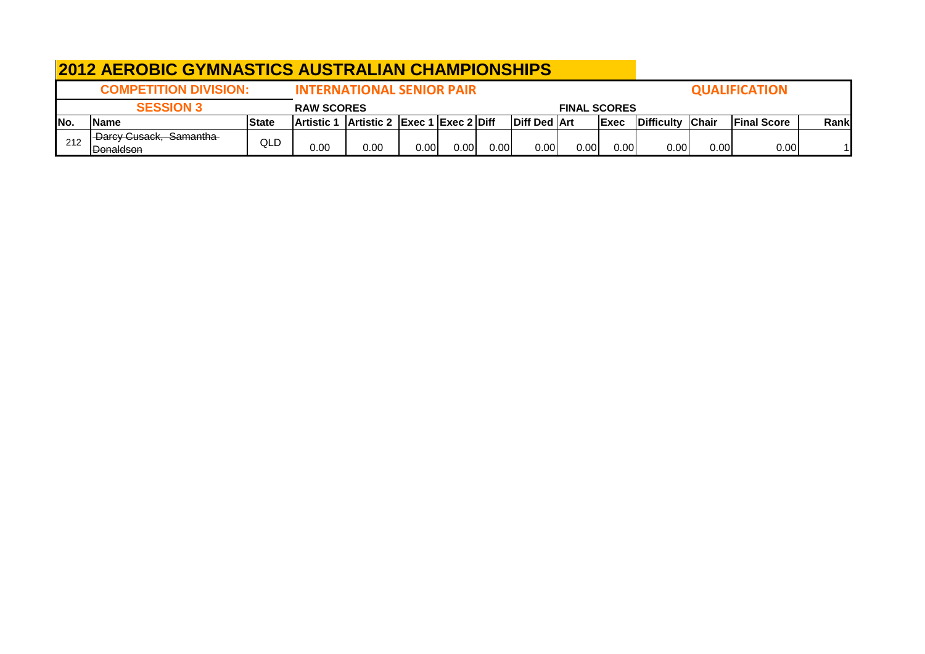|     | <b>2012 AEROBIC GYMNASTICS AUSTRALIAN CHAMPIONSHIPS</b> |              |                        |                                                       |      |      |                   |                     |                     |              |                  |       |                      |       |
|-----|---------------------------------------------------------|--------------|------------------------|-------------------------------------------------------|------|------|-------------------|---------------------|---------------------|--------------|------------------|-------|----------------------|-------|
|     | <b>COMPETITION DIVISION:</b>                            |              |                        | <b>INTERNATIONAL SENIOR PAIR</b>                      |      |      |                   |                     |                     |              |                  |       | <b>QUALIFICATION</b> |       |
|     | <b>SESSION 3</b>                                        |              | <b>RAW SCORES</b>      |                                                       |      |      |                   |                     | <b>FINAL SCORES</b> |              |                  |       |                      |       |
| No. | <b>IName</b>                                            | <b>State</b> | lArtistic <sup>.</sup> | $\vert$ Artistic 2 $\vert$ Exec 1 $\vert$ Exec 2 Diff |      |      |                   | <b>Diff Ded Art</b> |                     | <b>IExec</b> | Difficulty Chair |       | <b>Final Score</b>   | Rankl |
| 212 | Darcy Cusack, Samantha<br><b>Donaldson</b>              | QLD          | 0.00                   | 0.00                                                  | 0.00 | 0.00 | 0.00 <sub>l</sub> | 0.00                | 0.00                | 0.00         | 0.00             | 0.001 | 0.00                 |       |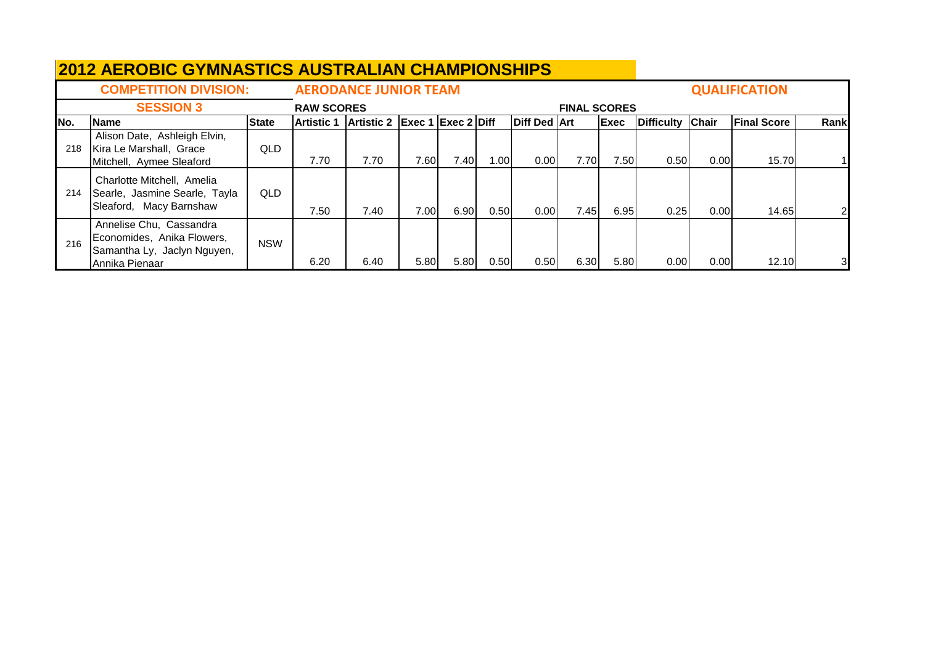|      | <b>COMPETITION DIVISION:</b>                                                                           |              |                   | <b>AERODANCE JUNIOR TEAM</b> |                             |       |      |                     |                     |       |                   |                   | <b>QUALIFICATION</b> |                |
|------|--------------------------------------------------------------------------------------------------------|--------------|-------------------|------------------------------|-----------------------------|-------|------|---------------------|---------------------|-------|-------------------|-------------------|----------------------|----------------|
|      | <b>SESSION 3</b>                                                                                       |              | <b>RAW SCORES</b> |                              |                             |       |      |                     | <b>FINAL SCORES</b> |       |                   |                   |                      |                |
| INo. | <b>Name</b>                                                                                            | <b>State</b> | <b>Artistic 1</b> | <b>Artistic 2</b>            | $\left $ Exec 1 Exec 2 Diff |       |      | <b>Diff Ded Art</b> |                     | Exec  | <b>Difficulty</b> | Chair             | <b>Final Score</b>   | Rank           |
| 218  | Alison Date, Ashleigh Elvin,<br>Kira Le Marshall, Grace<br>Mitchell, Aymee Sleaford                    | <b>QLD</b>   | 7.70              | 7.70                         | 7.60                        | 7.401 | 1.00 | 0.00                | 7.70                | 7.50  | 0.50              | 0.00              | 15.70                |                |
| 214  | Charlotte Mitchell, Amelia<br>Searle, Jasmine Searle, Tayla<br>Sleaford, Macy Barnshaw                 | QLD          | 7.50              | 7.40                         | 7.00                        | 6.90  | 0.50 | 0.00                | 7.45                | 6.95I | 0.25              | 0.001             | 14.65                | $\overline{2}$ |
| 216  | Annelise Chu, Cassandra<br>Economides, Anika Flowers,<br>Samantha Ly, Jaclyn Nguyen,<br>Annika Pienaar | <b>NSW</b>   | 6.20              | 6.40                         | 5.80                        | 5.80  | 0.50 | 0.50                | 6.30                | 5.80  | 0.001             | 0.00 <sub>l</sub> | 12.10                | 31             |

## **2012 AEROBIC GYMNASTICS AUSTRALIAN CHAMPIONSHIPS**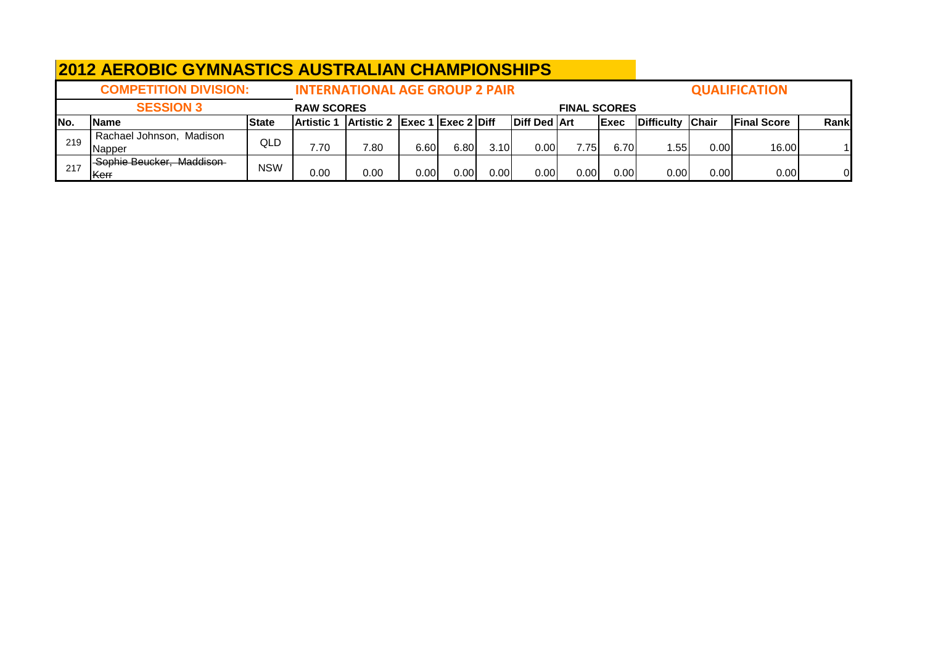|      | <b>2012 AEROBIC GYMNASTICS AUSTRALIAN CHAMPIONSHIPS</b> |              |                   |                                       |          |      |      |                     |                     |             |                  |      |                      |      |
|------|---------------------------------------------------------|--------------|-------------------|---------------------------------------|----------|------|------|---------------------|---------------------|-------------|------------------|------|----------------------|------|
|      | <b>COMPETITION DIVISION:</b>                            |              |                   | <b>INTERNATIONAL AGE GROUP 2 PAIR</b> |          |      |      |                     |                     |             |                  |      | <b>QUALIFICATION</b> |      |
|      | <b>SESSION 3</b>                                        |              | <b>RAW SCORES</b> |                                       |          |      |      |                     | <b>FINAL SCORES</b> |             |                  |      |                      |      |
| INo. | <b>Name</b>                                             | <b>State</b> | Artistic <b>1</b> | Artistic 2 Exec 1 Exec 2 Diff         |          |      |      | <b>Diff Ded Art</b> |                     | <b>Exec</b> | Difficulty Chair |      | <b>Final Score</b>   | Rank |
| 219  | Rachael Johnson, Madison                                | QLD          |                   |                                       |          |      |      |                     |                     |             |                  |      |                      |      |
|      | Napper                                                  |              | 7.70              | 7.80                                  | 6.60     | 6.80 | 3.10 | 0.00                | 7.75                | 6.70        | 1.55             | 0.00 | 16.00                |      |
| 217  | Sophie Beucker, Maddison                                | <b>NSW</b>   |                   |                                       |          |      |      |                     |                     |             |                  |      |                      |      |
|      | lKerr                                                   |              | 0.00              | 0.00                                  | $0.00\,$ | 0.00 | 0.00 | 0.00                | 0.00                | $0.00\,$    | 0.00             | 0.00 | 0.00                 | Οl   |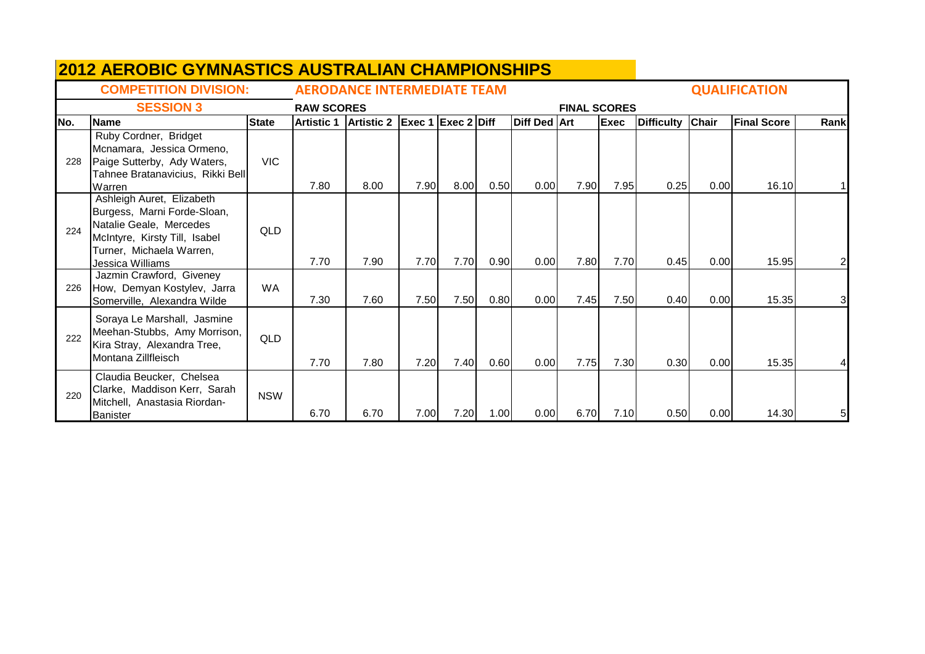|     | <b>2012 AEROBIC GYMNASTICS AUSTRALIAN CHAMPIONSHIPS</b>                                                                                                              |              |                   |                                    |                      |      |      |                     |                     |             |                   |       |                      |                |
|-----|----------------------------------------------------------------------------------------------------------------------------------------------------------------------|--------------|-------------------|------------------------------------|----------------------|------|------|---------------------|---------------------|-------------|-------------------|-------|----------------------|----------------|
|     | <b>COMPETITION DIVISION:</b>                                                                                                                                         |              |                   | <b>AERODANCE INTERMEDIATE TEAM</b> |                      |      |      |                     |                     |             |                   |       | <b>QUALIFICATION</b> |                |
|     | <b>SESSION 3</b>                                                                                                                                                     |              | <b>RAW SCORES</b> |                                    |                      |      |      |                     | <b>FINAL SCORES</b> |             |                   |       |                      |                |
| No. | Name                                                                                                                                                                 | <b>State</b> |                   | Artistic 1   Artistic 2            | $Exec 1$ Exec 2 Diff |      |      | <b>Diff Ded Art</b> |                     | <b>Exec</b> | <b>Difficulty</b> | Chair | <b>Final Score</b>   | Rank           |
| 228 | Ruby Cordner, Bridget<br>Mcnamara, Jessica Ormeno,<br>Paige Sutterby, Ady Waters,<br>Tahnee Bratanavicius, Rikki Bell<br>Warren                                      | <b>VIC</b>   | 7.80              | 8.00                               | 7.90                 | 8.00 | 0.50 | 0.00                | 7.90                | 7.95        | 0.25              | 0.00  | 16.10                |                |
| 224 | Ashleigh Auret, Elizabeth<br>Burgess, Marni Forde-Sloan,<br>Natalie Geale, Mercedes<br>McIntyre, Kirsty Till, Isabel<br>Turner, Michaela Warren,<br>Jessica Williams | QLD          | 7.70              | 7.90                               | 7.70                 | 7.70 | 0.90 | 0.00                | 7.80                | 7.70        | 0.45              | 0.00  | 15.95                | 2              |
| 226 | Jazmin Crawford, Giveney<br>How, Demyan Kostylev, Jarra<br>Somerville, Alexandra Wilde                                                                               | WA           | 7.30              | 7.60                               | 7.50                 | 7.50 | 0.80 | 0.00                | 7.45                | 7.50        | 0.40              | 0.00  | 15.35                | $\overline{3}$ |
| 222 | Soraya Le Marshall, Jasmine<br>Meehan-Stubbs, Amy Morrison,<br>Kira Stray, Alexandra Tree,<br>Montana Zillfleisch                                                    | QLD          | 7.70              | 7.80                               | 7.20                 | 7.40 | 0.60 | 0.00                | 7.75                | 7.30        | 0.30              | 0.00  | 15.35                | 4              |
| 220 | Claudia Beucker, Chelsea<br>Clarke, Maddison Kerr, Sarah<br>Mitchell, Anastasia Riordan-<br>Banister                                                                 | <b>NSW</b>   | 6.70              | 6.70                               | 7.00                 | 7.20 | 1.00 | 0.00                | 6.70                | 7.10        | 0.50              | 0.00  | 14.30                | 5              |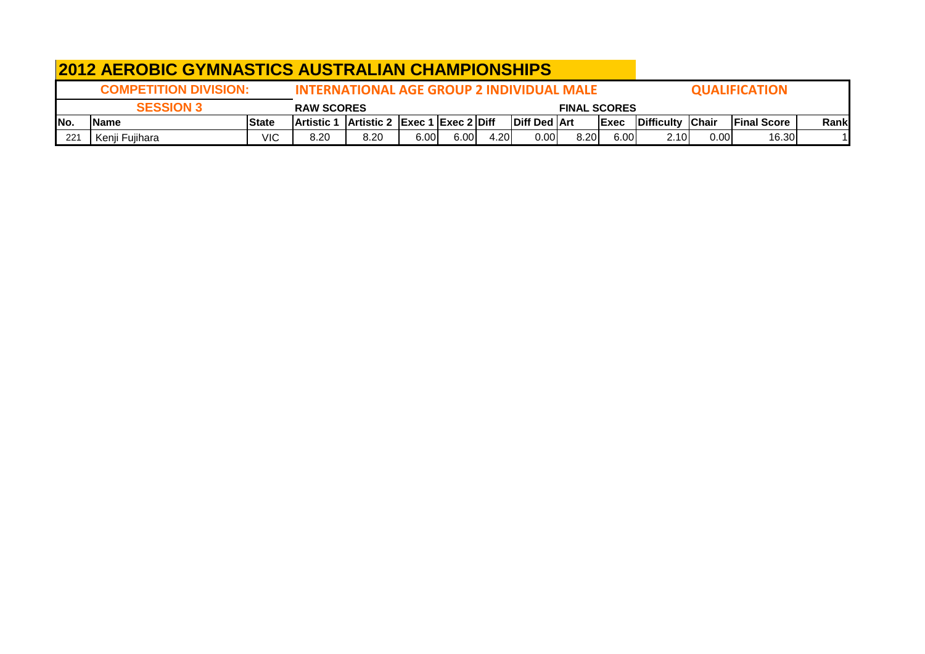|              | <b>2012 AEROBIC GYMNASTICS AUSTRALIAN CHAMPIONSHIPS</b> |              |                                                  |                                                               |      |       |      |                     |                     |      |                  |       |                      |       |
|--------------|---------------------------------------------------------|--------------|--------------------------------------------------|---------------------------------------------------------------|------|-------|------|---------------------|---------------------|------|------------------|-------|----------------------|-------|
|              | <b>COMPETITION DIVISION:</b>                            |              | <b>INTERNATIONAL AGE GROUP 2 INDIVIDUAL MALE</b> |                                                               |      |       |      |                     |                     |      |                  |       | <b>QUALIFICATION</b> |       |
|              | <b>SESSION 3</b>                                        |              | <b>RAW SCORES</b>                                |                                                               |      |       |      |                     | <b>FINAL SCORES</b> |      |                  |       |                      |       |
| INo.         | <b>IName</b>                                            | <b>State</b> | <b>Artistic 1</b>                                | $\vert$ Artistic 2 $\vert$ Exec 1 $\vert$ Exec 2 $\vert$ Diff |      |       |      | <b>Diff Ded Art</b> |                     | Exec | Difficulty Chair |       | <b>Final Score</b>   | Rankl |
| $22^{\circ}$ | Kenji Fujihara                                          | VIC          | 8.20                                             | 8.20                                                          | 6.00 | 6.00l | 4.20 | 0.00                | 8.20                | 6.00 | 2.10I            | 0.001 | 16.30                |       |